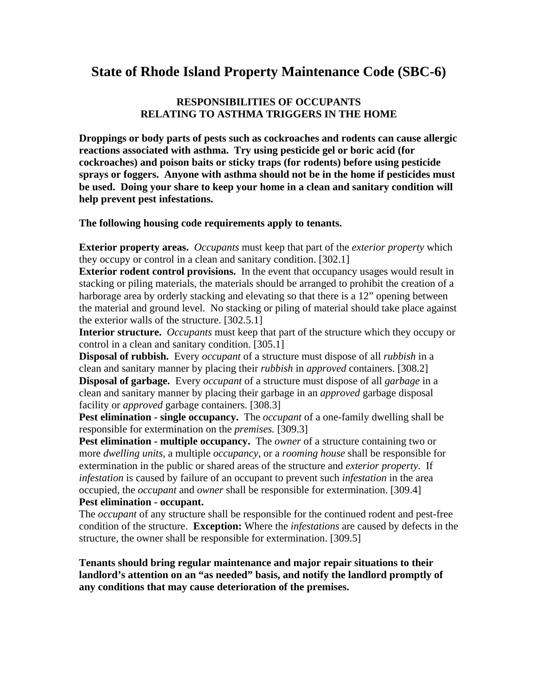## **State of Rhode Island Property Maintenance Code (SBC-6)**

#### **RESPONSIBILITIES OF OCCUPANTS RELATING TO ASTHMA TRIGGERS IN THE HOME**

**Droppings or body parts of pests such as cockroaches and rodents can cause allergic reactions associated with asthma. Try using pesticide gel or boric acid (for cockroaches) and poison baits or sticky traps (for rodents) before using pesticide sprays or foggers. Anyone with asthma should not be in the home if pesticides must be used. Doing your share to keep your home in a clean and sanitary condition will help prevent pest infestations.** 

**The following housing code requirements apply to tenants.** 

**Exterior property areas.** *Occupants* must keep that part of the *exterior property* which they occupy or control in a clean and sanitary condition. [302.1]

**Exterior rodent control provisions.** In the event that occupancy usages would result in stacking or piling materials, the materials should be arranged to prohibit the creation of a harborage area by orderly stacking and elevating so that there is a 12" opening between the material and ground level. No stacking or piling of material should take place against the exterior walls of the structure. [302.5.1]

**Interior structure.** *Occupants* must keep that part of the structure which they occupy or control in a clean and sanitary condition. [305.1]

**Disposal of rubbish.** Every *occupant* of a structure must dispose of all *rubbish* in a clean and sanitary manner by placing their *rubbish* in *approved* containers. [308.2] **Disposal of garbage.** Every *occupant* of a structure must dispose of all *garbage* in a clean and sanitary manner by placing their garbage in an *approved* garbage disposal facility or *approved* garbage containers. [308.3]

**Pest elimination - single occupancy.** The *occupant* of a one-family dwelling shall be responsible for extermination on the *premises.* [309.3]

**Pest elimination - multiple occupancy.** The *owner* of a structure containing two or more *dwelling units,* a multiple *occupancy,* or a *rooming house* shall be responsible for extermination in the public or shared areas of the structure and *exterior property*. If *infestation* is caused by failure of an occupant to prevent such *infestation* in the area occupied, the *occupant* and *owner* shall be responsible for extermination. [309.4] **Pest elimination - occupant.** 

The *occupant* of any structure shall be responsible for the continued rodent and pest-free condition of the structure. **Exception:** Where the *infestations* are caused by defects in the structure, the owner shall be responsible for extermination. [309.5]

**Tenants should bring regular maintenance and major repair situations to their landlord's attention on an "as needed" basis, and notify the landlord promptly of any conditions that may cause deterioration of the premises.**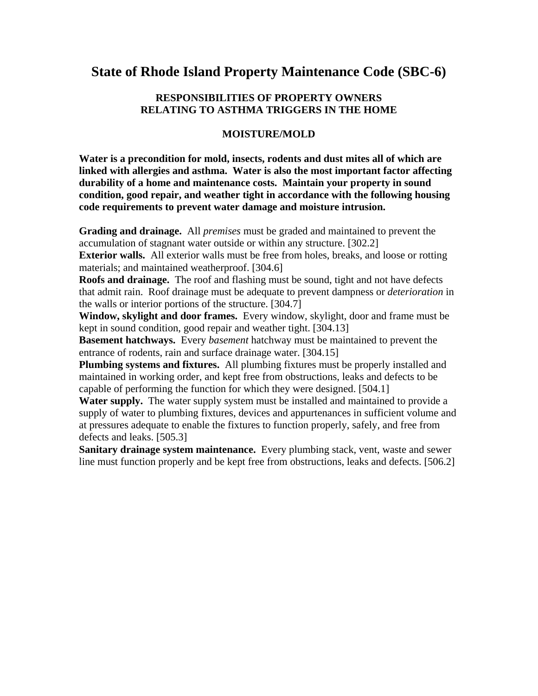### **State of Rhode Island Property Maintenance Code (SBC-6)**

#### **RESPONSIBILITIES OF PROPERTY OWNERS RELATING TO ASTHMA TRIGGERS IN THE HOME**

#### **MOISTURE/MOLD**

**Water is a precondition for mold, insects, rodents and dust mites all of which are linked with allergies and asthma. Water is also the most important factor affecting durability of a home and maintenance costs. Maintain your property in sound condition, good repair, and weather tight in accordance with the following housing code requirements to prevent water damage and moisture intrusion.** 

**Grading and drainage.** All *premises* must be graded and maintained to prevent the accumulation of stagnant water outside or within any structure. [302.2]

**Exterior walls.** All exterior walls must be free from holes, breaks, and loose or rotting materials; and maintained weatherproof. [304.6]

**Roofs and drainage.** The roof and flashing must be sound, tight and not have defects that admit rain. Roof drainage must be adequate to prevent dampness or *deterioration* in the walls or interior portions of the structure. [304.7]

**Window, skylight and door frames.** Every window, skylight, door and frame must be kept in sound condition, good repair and weather tight. [304.13]

**Basement hatchways.** Every *basement* hatchway must be maintained to prevent the entrance of rodents, rain and surface drainage water. [304.15]

**Plumbing systems and fixtures.** All plumbing fixtures must be properly installed and maintained in working order, and kept free from obstructions, leaks and defects to be capable of performing the function for which they were designed. [504.1]

**Water supply.** The water supply system must be installed and maintained to provide a supply of water to plumbing fixtures, devices and appurtenances in sufficient volume and at pressures adequate to enable the fixtures to function properly, safely, and free from defects and leaks. [505.3]

**Sanitary drainage system maintenance.** Every plumbing stack, vent, waste and sewer line must function properly and be kept free from obstructions, leaks and defects. [506.2]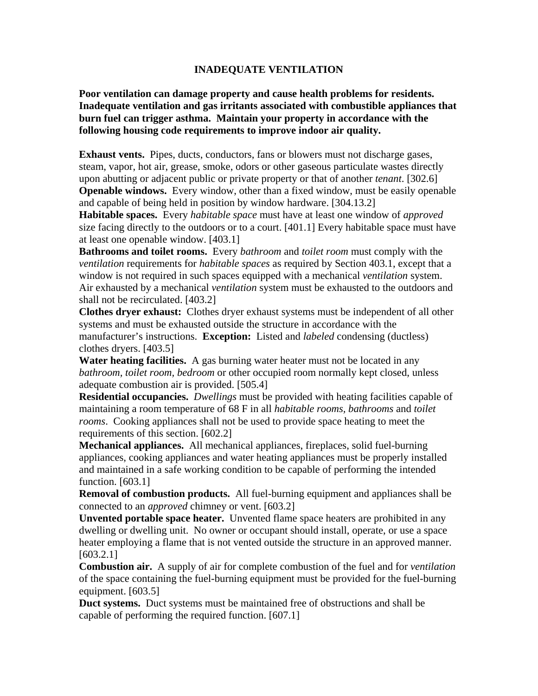#### **INADEQUATE VENTILATION**

**Poor ventilation can damage property and cause health problems for residents. Inadequate ventilation and gas irritants associated with combustible appliances that burn fuel can trigger asthma. Maintain your property in accordance with the following housing code requirements to improve indoor air quality.** 

**Exhaust vents.** Pipes, ducts, conductors, fans or blowers must not discharge gases, steam, vapor, hot air, grease, smoke, odors or other gaseous particulate wastes directly upon abutting or adjacent public or private property or that of another *tenant*. [302.6] **Openable windows.** Every window, other than a fixed window, must be easily openable and capable of being held in position by window hardware. [304.13.2]

**Habitable spaces.** Every *habitable space* must have at least one window of *approved*  size facing directly to the outdoors or to a court. [401.1] Every habitable space must have at least one openable window. [403.1]

**Bathrooms and toilet rooms.** Every *bathroom* and *toilet room* must comply with the *ventilation* requirements for *habitable spaces* as required by Section 403.1, except that a window is not required in such spaces equipped with a mechanical *ventilation* system. Air exhausted by a mechanical *ventilation* system must be exhausted to the outdoors and shall not be recirculated. [403.2]

**Clothes dryer exhaust:** Clothes dryer exhaust systems must be independent of all other systems and must be exhausted outside the structure in accordance with the manufacturer's instructions. **Exception:** Listed and *labeled* condensing (ductless) clothes dryers. [403.5]

**Water heating facilities.** A gas burning water heater must not be located in any *bathroom, toilet room, bedroom* or other occupied room normally kept closed, unless adequate combustion air is provided. [505.4]

**Residential occupancies.** *Dwellings* must be provided with heating facilities capable of maintaining a room temperature of 68 F in all *habitable rooms, bathrooms* and *toilet rooms*. Cooking appliances shall not be used to provide space heating to meet the requirements of this section. [602.2]

**Mechanical appliances.** All mechanical appliances, fireplaces, solid fuel-burning appliances, cooking appliances and water heating appliances must be properly installed and maintained in a safe working condition to be capable of performing the intended function. [603.1]

**Removal of combustion products.** All fuel-burning equipment and appliances shall be connected to an *approved* chimney or vent. [603.2]

**Unvented portable space heater.** Unvented flame space heaters are prohibited in any dwelling or dwelling unit. No owner or occupant should install, operate, or use a space heater employing a flame that is not vented outside the structure in an approved manner. [603.2.1]

**Combustion air.** A supply of air for complete combustion of the fuel and for *ventilation* of the space containing the fuel-burning equipment must be provided for the fuel-burning equipment. [603.5]

**Duct systems.** Duct systems must be maintained free of obstructions and shall be capable of performing the required function. [607.1]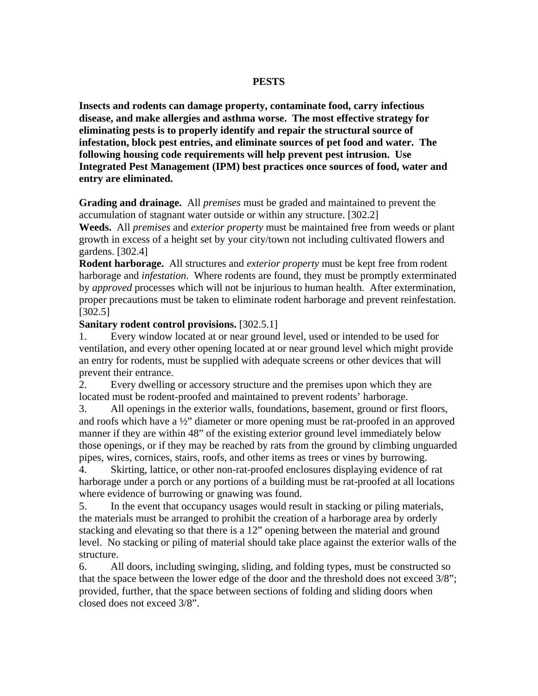#### **PESTS**

**Insects and rodents can damage property, contaminate food, carry infectious disease, and make allergies and asthma worse. The most effective strategy for eliminating pests is to properly identify and repair the structural source of infestation, block pest entries, and eliminate sources of pet food and water. The following housing code requirements will help prevent pest intrusion. Use Integrated Pest Management (IPM) best practices once sources of food, water and entry are eliminated.** 

**Grading and drainage.** All *premises* must be graded and maintained to prevent the accumulation of stagnant water outside or within any structure. [302.2]

**Weeds.** All *premises* and *exterior property* must be maintained free from weeds or plant growth in excess of a height set by your city/town not including cultivated flowers and gardens. [302.4]

**Rodent harborage.** All structures and *exterior property* must be kept free from rodent harborage and *infestation*. Where rodents are found, they must be promptly exterminated by *approved* processes which will not be injurious to human health. After extermination, proper precautions must be taken to eliminate rodent harborage and prevent reinfestation. [302.5]

#### **Sanitary rodent control provisions.** [302.5.1]

1. Every window located at or near ground level, used or intended to be used for ventilation, and every other opening located at or near ground level which might provide an entry for rodents, must be supplied with adequate screens or other devices that will prevent their entrance.

2. Every dwelling or accessory structure and the premises upon which they are located must be rodent-proofed and maintained to prevent rodents' harborage.

3. All openings in the exterior walls, foundations, basement, ground or first floors, and roofs which have a ½" diameter or more opening must be rat-proofed in an approved manner if they are within 48" of the existing exterior ground level immediately below those openings, or if they may be reached by rats from the ground by climbing unguarded pipes, wires, cornices, stairs, roofs, and other items as trees or vines by burrowing.

4. Skirting, lattice, or other non-rat-proofed enclosures displaying evidence of rat harborage under a porch or any portions of a building must be rat-proofed at all locations where evidence of burrowing or gnawing was found.

5. In the event that occupancy usages would result in stacking or piling materials, the materials must be arranged to prohibit the creation of a harborage area by orderly stacking and elevating so that there is a 12" opening between the material and ground level. No stacking or piling of material should take place against the exterior walls of the structure.

6. All doors, including swinging, sliding, and folding types, must be constructed so that the space between the lower edge of the door and the threshold does not exceed 3/8"; provided, further, that the space between sections of folding and sliding doors when closed does not exceed 3/8".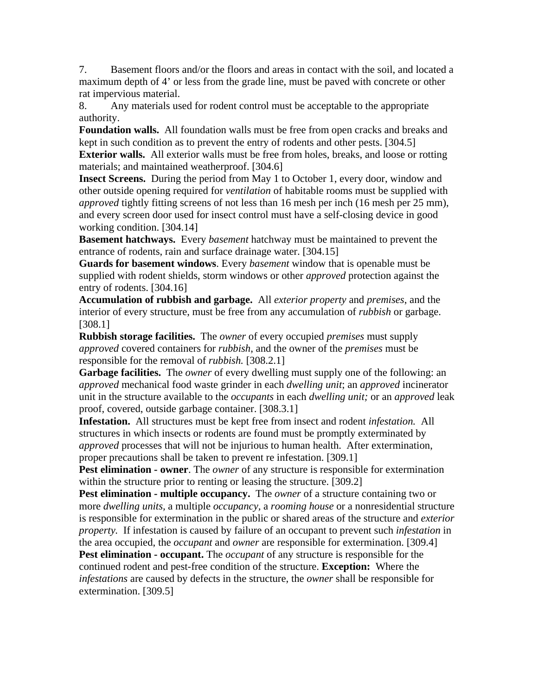7. Basement floors and/or the floors and areas in contact with the soil, and located a maximum depth of 4' or less from the grade line, must be paved with concrete or other rat impervious material.

8. Any materials used for rodent control must be acceptable to the appropriate authority.

**Foundation walls.** All foundation walls must be free from open cracks and breaks and kept in such condition as to prevent the entry of rodents and other pests. [304.5]

**Exterior walls.** All exterior walls must be free from holes, breaks, and loose or rotting materials; and maintained weatherproof. [304.6]

**Insect Screens.** During the period from May 1 to October 1, every door, window and other outside opening required for *ventilation* of habitable rooms must be supplied with *approved* tightly fitting screens of not less than 16 mesh per inch (16 mesh per 25 mm), and every screen door used for insect control must have a self-closing device in good working condition. [304.14]

**Basement hatchways.** Every *basement* hatchway must be maintained to prevent the entrance of rodents, rain and surface drainage water. [304.15]

**Guards for basement windows**. Every *basement* window that is openable must be supplied with rodent shields, storm windows or other *approved* protection against the entry of rodents. [304.16]

**Accumulation of rubbish and garbage.** All *exterior property* and *premises*, and the interior of every structure, must be free from any accumulation of *rubbish* or garbage. [308.1]

**Rubbish storage facilities.** The *owner* of every occupied *premises* must supply *approved* covered containers for *rubbish*, and the owner of the *premises* must be responsible for the removal of *rubbish.* [308.2.1]

**Garbage facilities.** The *owner* of every dwelling must supply one of the following: an *approved* mechanical food waste grinder in each *dwelling unit*; an *approved* incinerator unit in the structure available to the *occupants* in each *dwelling unit;* or an *approved* leak proof, covered, outside garbage container. [308.3.1]

**Infestation.** All structures must be kept free from insect and rodent *infestation.* All structures in which insects or rodents are found must be promptly exterminated by *approved* processes that will not be injurious to human health. After extermination, proper precautions shall be taken to prevent re infestation. [309.1]

**Pest elimination - owner**. The *owner* of any structure is responsible for extermination within the structure prior to renting or leasing the structure. [309.2]

**Pest elimination - multiple occupancy.** The *owner* of a structure containing two or more *dwelling units,* a multiple *occupancy,* a *rooming house* or a nonresidential structure is responsible for extermination in the public or shared areas of the structure and *exterior property.* If infestation is caused by failure of an occupant to prevent such *infestation* in the area occupied, the *occupant* and *owner* are responsible for extermination. [309.4]

**Pest elimination - occupant.** The *occupant* of any structure is responsible for the continued rodent and pest-free condition of the structure. **Exception:** Where the *infestations* are caused by defects in the structure, the *owner* shall be responsible for extermination. [309.5]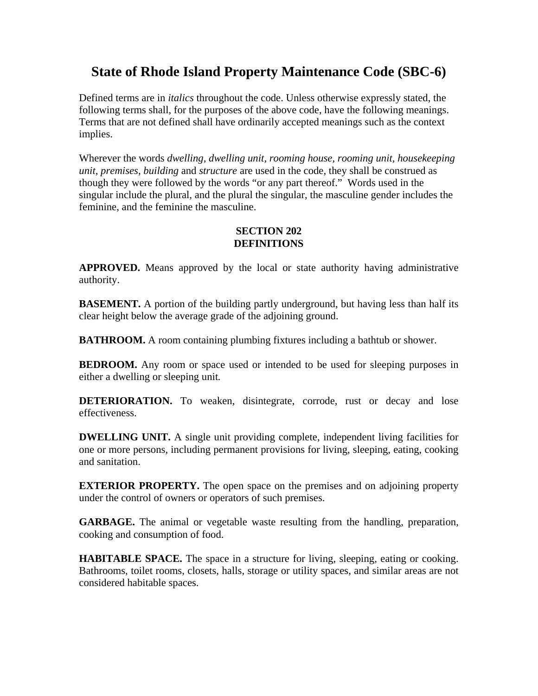# **State of Rhode Island Property Maintenance Code (SBC-6)**

Defined terms are in *italics* throughout the code. Unless otherwise expressly stated, the following terms shall, for the purposes of the above code, have the following meanings. Terms that are not defined shall have ordinarily accepted meanings such as the context implies.

Wherever the words *dwelling, dwelling unit, rooming house, rooming unit, housekeeping unit, premises*, *building* and *structure* are used in the code, they shall be construed as though they were followed by the words "or any part thereof." Words used in the singular include the plural, and the plural the singular, the masculine gender includes the feminine, and the feminine the masculine.

#### **SECTION 202 DEFINITIONS**

**APPROVED.** Means approved by the local or state authority having administrative authority.

**BASEMENT.** A portion of the building partly underground, but having less than half its clear height below the average grade of the adjoining ground.

**BATHROOM.** A room containing plumbing fixtures including a bathtub or shower.

**BEDROOM.** Any room or space used or intended to be used for sleeping purposes in either a dwelling or sleeping unit*.* 

**DETERIORATION.** To weaken, disintegrate, corrode, rust or decay and lose effectiveness.

**DWELLING UNIT.** A single unit providing complete, independent living facilities for one or more persons, including permanent provisions for living, sleeping, eating, cooking and sanitation.

**EXTERIOR PROPERTY.** The open space on the premises and on adjoining property under the control of owners or operators of such premises.

**GARBAGE.** The animal or vegetable waste resulting from the handling, preparation, cooking and consumption of food.

**HABITABLE SPACE.** The space in a structure for living, sleeping, eating or cooking. Bathrooms, toilet rooms, closets, halls, storage or utility spaces, and similar areas are not considered habitable spaces.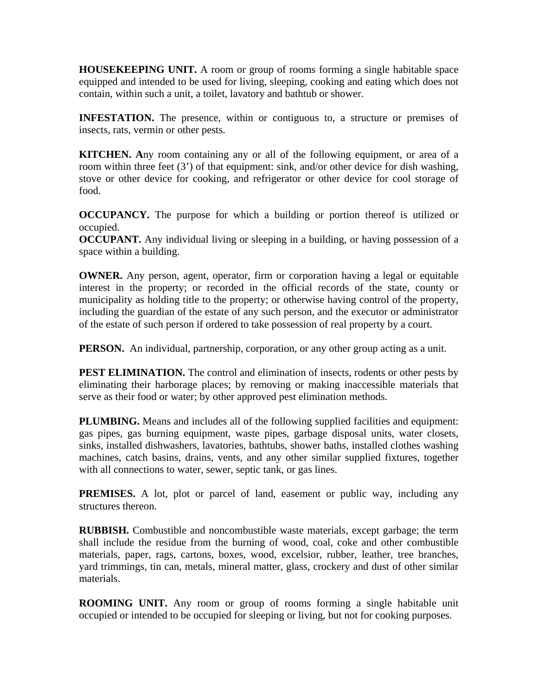**HOUSEKEEPING UNIT.** A room or group of rooms forming a single habitable space equipped and intended to be used for living, sleeping, cooking and eating which does not contain, within such a unit, a toilet, lavatory and bathtub or shower.

**INFESTATION.** The presence, within or contiguous to, a structure or premises of insects, rats, vermin or other pests.

**KITCHEN. A**ny room containing any or all of the following equipment, or area of a room within three feet (3') of that equipment: sink, and/or other device for dish washing, stove or other device for cooking, and refrigerator or other device for cool storage of food.

**OCCUPANCY.** The purpose for which a building or portion thereof is utilized or occupied.

**OCCUPANT.** Any individual living or sleeping in a building, or having possession of a space within a building.

**OWNER.** Any person, agent, operator, firm or corporation having a legal or equitable interest in the property; or recorded in the official records of the state, county or municipality as holding title to the property; or otherwise having control of the property, including the guardian of the estate of any such person, and the executor or administrator of the estate of such person if ordered to take possession of real property by a court.

**PERSON.** An individual, partnership, corporation, or any other group acting as a unit.

**PEST ELIMINATION.** The control and elimination of insects, rodents or other pests by eliminating their harborage places; by removing or making inaccessible materials that serve as their food or water; by other approved pest elimination methods.

**PLUMBING.** Means and includes all of the following supplied facilities and equipment: gas pipes, gas burning equipment, waste pipes, garbage disposal units, water closets, sinks, installed dishwashers, lavatories, bathtubs, shower baths, installed clothes washing machines, catch basins, drains, vents, and any other similar supplied fixtures, together with all connections to water, sewer, septic tank, or gas lines.

**PREMISES.** A lot, plot or parcel of land, easement or public way, including any structures thereon.

**RUBBISH.** Combustible and noncombustible waste materials, except garbage; the term shall include the residue from the burning of wood, coal, coke and other combustible materials, paper, rags, cartons, boxes, wood, excelsior, rubber, leather, tree branches, yard trimmings, tin can, metals, mineral matter, glass, crockery and dust of other similar materials.

**ROOMING UNIT.** Any room or group of rooms forming a single habitable unit occupied or intended to be occupied for sleeping or living, but not for cooking purposes.